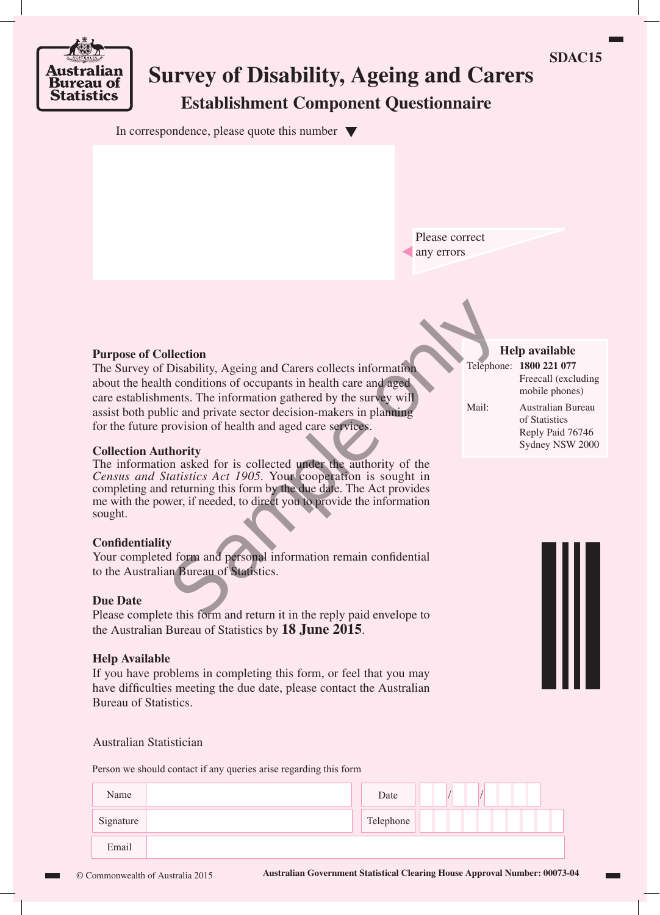



### **Purpose of Collection**

The Survey of Disability, Ageing and Carers collects information about the health conditions of occupants in health care and aged care establishments. The information gathered by the survey will assist both public and private sector decision-makers in planning for the future provision of health and aged care services. **Example 12**<br> **Example 12**<br> **Example 12**<br> **Example 12**<br> **Example 12**<br> **Example 12**<br> **Example 12**<br> **Example 12**<br> **Example 12**<br> **Example 12**<br> **Example 12**<br> **Example 12**<br> **Example 12**<br> **Example 12**<br> **Example 12**<br> **Example 12** 

### **Collection Authority**

The information asked for is collected under the authority of the *Census and Statistics Act 1905.* Your cooperation is sought in completing and returning this form by the due date. The Act provides me with the power, if needed, to direct you to provide the information sought.

### **Confidentiality**

Your completed form and personal information remain confidential to the Australian Bureau of Statistics.

### **Due Date**

Please complete this form and return it in the reply paid envelope to the Australian Bureau of Statistics by **18 June 2015**.

### **Help Available**

If you have problems in completing this form, or feel that you may have difficulties meeting the due date, please contact the Australian Bureau of Statistics.

### Australian Statistician

Person we should contact if any queries arise regarding this form

| Name      | Date      |  |          |
|-----------|-----------|--|----------|
| Signature | Telephone |  |          |
| Email     |           |  |          |
|           |           |  | $\cdots$ |

- **Help available** Telephone: **1800 221 077** 
	- Freecall (excluding mobile phones)
- 

### Mail: Australian Bureau of Statistics Reply Paid 76746 Sydney NSW 2000

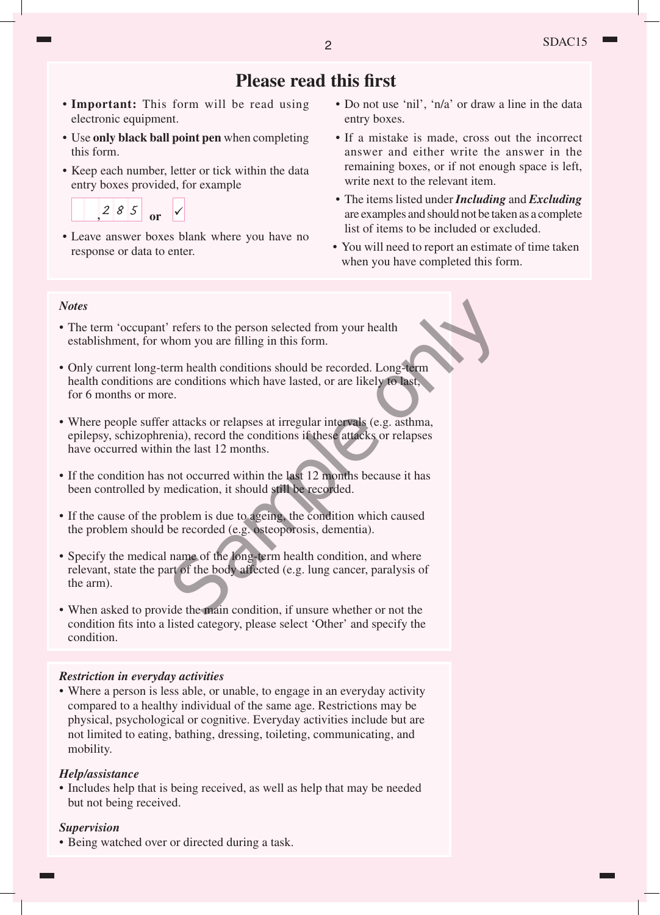# **Please read this first**

- **Important:** This form will be read using electronic equipment.
- Use **only black ball point pen** when completing this form.
- Keep each number, letter or tick within the data entry boxes provided, for example



• Leave answer boxes blank where you have no response or data to enter.

- Do not use 'nil', 'n/a' or draw a line in the data entry boxes.
- If a mistake is made, cross out the incorrect answer and either write the answer in the remaining boxes, or if not enough space is left, write next to the relevant item.
- The items listed under *Including* and *Excluding* are examples and should not be taken as a complete list of items to be included or excluded.
- You will need to report an estimate of time taken when you have completed this form.

### *Notes*

4

- The term 'occupant' refers to the person selected from your health establishment, for whom you are filling in this form.
- Only current long-term health conditions should be recorded. Long-term health conditions are conditions which have lasted, or are likely to last, for 6 months or more.
- Where people suffer attacks or relapses at irregular intervals (e.g. asthma, epilepsy, schizophrenia), record the conditions if these attacks or relapses have occurred within the last 12 months.
- If the condition has not occurred within the last 12 months because it has been controlled by medication, it should still be recorded.
- If the cause of the problem is due to ageing, the condition which caused the problem should be recorded (e.g. osteoporosis, dementia).
- Specify the medical name of the long-term health condition, and where relevant, state the part of the body affected (e.g. lung cancer, paralysis of the arm). The state of the person selected from your health<br>thom you are filling in this form.<br>
Fram health conditions should be recorded. Long term<br>
e conditions which have lasted, or are likely to last,<br>
re.<br>
attacks or relapses a
- When asked to provide the main condition, if unsure whether or not the condition fits into a listed category, please select 'Other' and specify the condition.

### *Restriction in everyday activities*

• Where a person is less able, or unable, to engage in an everyday activity compared to a healthy individual of the same age. Restrictions may be physical, psychological or cognitive. Everyday activities include but are not limited to eating, bathing, dressing, toileting, communicating, and mobility.

#### *Help/assistance*

• Includes help that is being received, as well as help that may be needed but not being received.

#### *Supervision*

• Being watched over or directed during a task.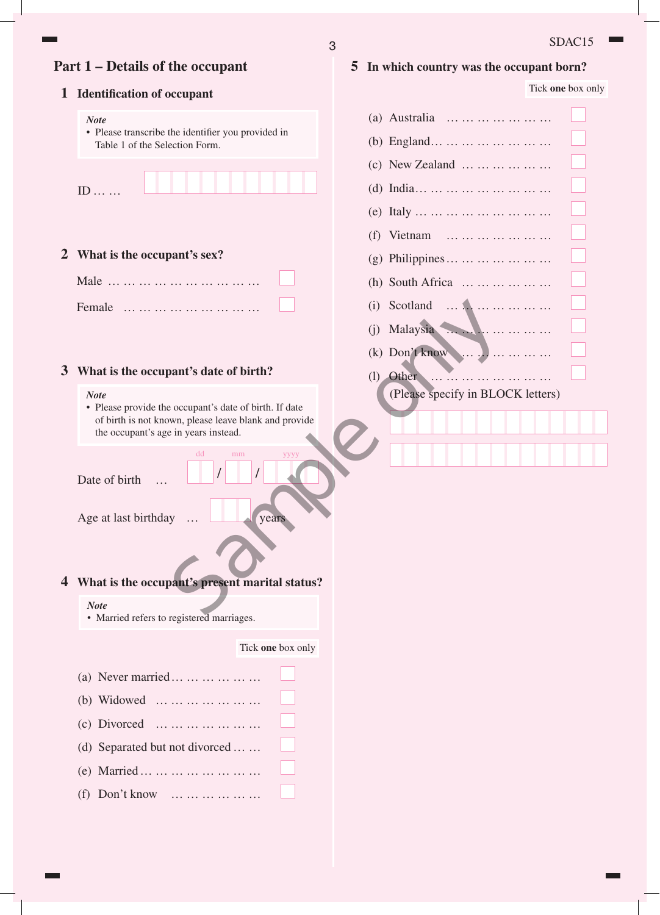

# 3 SDAC15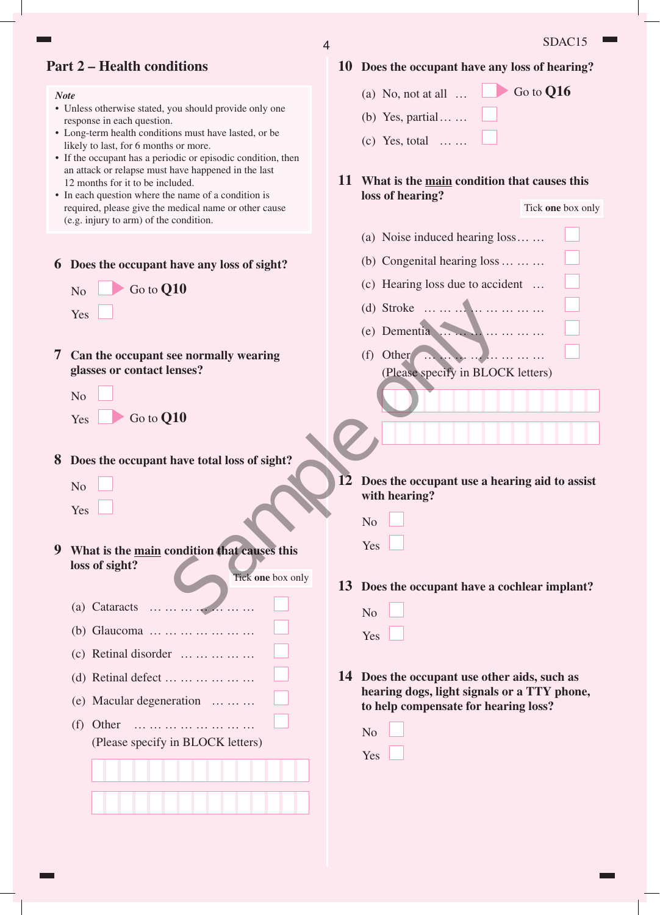# **Part 2 – Health conditions**

#### *Note*

- Unless otherwise stated, you should provide only one response in each question.
- Long-term health conditions must have lasted, or be likely to last, for 6 months or more.
- If the occupant has a periodic or episodic condition, then an attack or relapse must have happened in the last 12 months for it to be included.
- In each question where the name of a condition is required, please give the medical name or other cause (e.g. injury to arm) of the condition.
- **6 Does the occupant have any loss of sight?**

| No         | Go to Q10 |
|------------|-----------|
| <b>Yes</b> |           |

- **7 Can the occupant see normally wearing glasses or contact lenses?**
	- No  $Y_{\text{es}}$   $\qquad$  Go to  $\textbf{Q10}$
- **8 Does the occupant have total loss of sight?**
	- No Yes
- **9 What is the main condition that causes this loss of sight?**

- (a) Cataracts … … … … … … …
- (b) Glaucoma … … … … … … … (c) Retinal disorder … … … … …
- (d) Retinal defect … … … … … …
- 
- (e) Macular degeneration … … …
- (f) Other … … … … … … … … (Please specify in BLOCK letters)
- 4 SDAC15
	- **10 Does the occupant have any loss of hearing?**
		- (a) No, not at all  $\ldots$  Go to  $Q16$
		- (b) Yes, partial … …
		- $(c)$  Yes, total  $\dots$ .
			-
	- **11 What is the main condition that causes this loss of hearing?**

- (a) Noise induced hearing loss … … (b) Congenital hearing loss … … …
- (c) Hearing loss due to accident …
- (d) Stroke … … … … … … … … (e) Dementia … … … … … … …
- (f) Other … … … … … … … … (Please specify in BLOCK letters)
- **12 Does the occupant use a hearing aid to assist with hearing?** G Stroke<br>
(c) Dementia<br>
(d) Stroke<br>
(e) Dementia<br>
(f) Other<br>
<br>
(Flease specify in BLOC<br>
Please specify in BLOC<br>
Please specify in BLOC<br>
Please specify in BLOC<br>
Please specify in BLOC<br>
Please specify in BLOC<br>
Please specif
	- No Yes
	- **13 Does the occupant have a cochlear implant?**
		- No Yes
	- **14 Does the occupant use other aids, such as hearing dogs, light signals or a TTY phone, to help compensate for hearing loss?**

| N <sub>0</sub> |  |
|----------------|--|
| Yes            |  |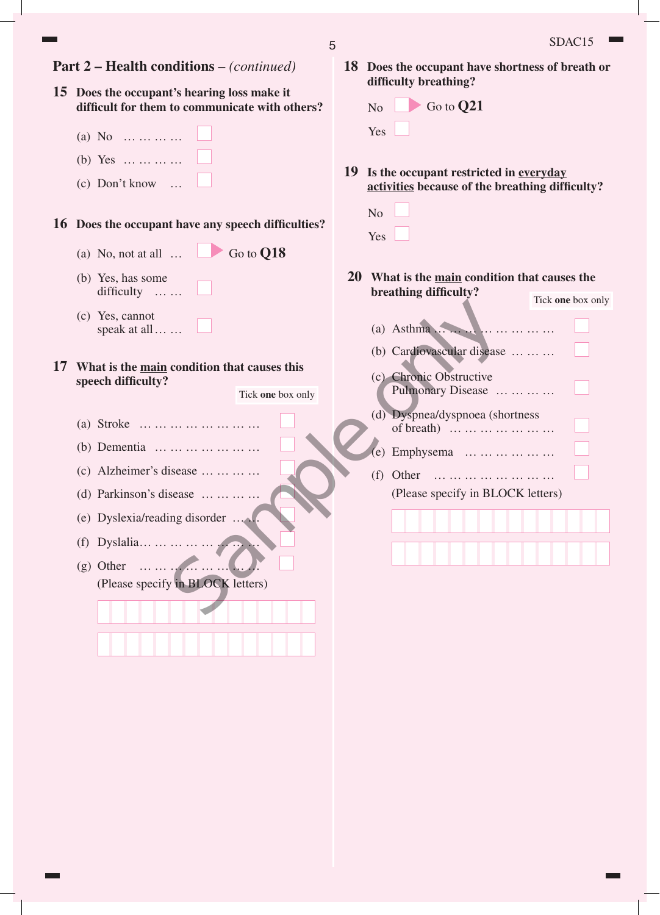|    | <b>Part 2 – Health conditions</b> – <i>(continued)</i>                                        | 18 Does the occupant have shortness of breath or                                            |
|----|-----------------------------------------------------------------------------------------------|---------------------------------------------------------------------------------------------|
|    | 15 Does the occupant's hearing loss make it<br>difficult for them to communicate with others? | difficulty breathing?<br>$\sim$ Go to $\sqrt{21}$<br>N <sub>o</sub>                         |
|    | (a) No                                                                                        | Yes                                                                                         |
|    | (b) Yes                                                                                       | 19 Is the occupant restricted in <u>everyday</u>                                            |
|    | (c) Don't know $\ldots$                                                                       | activities because of the breathing difficulty?                                             |
|    | 16 Does the occupant have any speech difficulties?                                            | N <sub>o</sub><br>Yes                                                                       |
|    | (a) No, not at all $\ldots$ Go to $Q18$                                                       |                                                                                             |
|    | (b) Yes, has some<br>difficulty                                                               | 20 What is the main condition that causes the<br>breathing difficulty?<br>Tick one box only |
|    | (c) Yes, cannot<br>speak at all $\dots$ $\Box$                                                | (a) Asthma                                                                                  |
| 17 | What is the main condition that causes this<br>speech difficulty?<br>Tick one box only        | (b) Cardiovascular disease<br>(c) Chronic Obstructive<br>Pulmonary Disease                  |
|    | (a) Stroke                                                                                    | (d) Dyspnea/dyspnoea (shortness<br>of breath)                                               |
|    | (b) Dementia                                                                                  | (e) Emphysema                                                                               |
|    | $(c)$ Alzheimer's disease                                                                     | (f) Other                                                                                   |
|    | (d) Parkinson's disease $\dots \dots \dots$                                                   | (Please specify in BLOCK letters)                                                           |
|    | (e) Dyslexia/reading disorder                                                                 |                                                                                             |
|    | (f) Dyslalia                                                                                  |                                                                                             |
|    | $(g)$ Other<br>(Please specify in BLOCK letters)                                              |                                                                                             |
|    |                                                                                               |                                                                                             |
|    |                                                                                               |                                                                                             |
|    |                                                                                               |                                                                                             |
|    |                                                                                               |                                                                                             |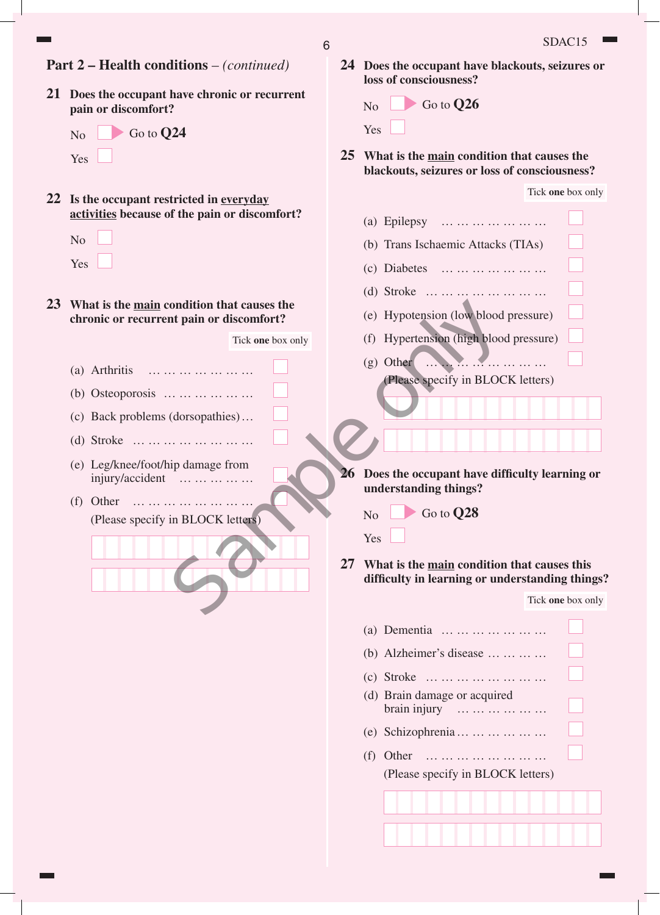# **Part 2 – Health conditions** – *(continued)*

**21 Does the occupant have chronic or recurrent pain or discomfort?**



- **22 Is the occupant restricted in everyday activities because of the pain or discomfort?**
	- No Yes
- **23 What is the main condition that causes the chronic or recurrent pain or discomfort?**

Tick **one** box only

- (a) Arthritis … … … … … … … (c) Back problems (dorsopathies) … (b) Osteoporosis … … … … … … (d) Stroke … … … … … … … … (e) Leg/knee/foot/hip damage from injury/accident … … … … … (f) Other … … … … … … … … State Since main conduiton that causes the<br>
Tick one box only<br>
Tick one box only<br>
(Please specify in BLOCK<br>
Arthritis<br>
Concernsion (does box only<br>
Concernsion (does box)<br>
Concernsion (does box)<br>
Concernsion (does box)<br>
Con
- 

**24 Does the occupant have blackouts, seizures or loss of consciousness?**

| N <sub>o</sub> | Go to $Q26$ |  |
|----------------|-------------|--|
| Yes            |             |  |

**25 What is the main condition that causes the blackouts, seizures or loss of consciousness?**

|                                        | Tick <b>one</b> box only |
|----------------------------------------|--------------------------|
| (a) Epilepsy                           |                          |
| (b) Trans Ischaemic Attacks (TIAs)     |                          |
| (c) Diabetes                           |                          |
| (d) Stroke                             |                          |
| (e) Hypotension (low blood pressure)   |                          |
| (f) Hypertension (high blood pressure) |                          |
| $(g)$ Other                            |                          |
| (Please specify in BLOCK letters)      |                          |
|                                        |                          |
|                                        |                          |

**26 Does the occupant have difficulty learning or understanding things?**

 $\overline{N_0}$  Go to  $\overline{Q28}$ 

- Yes
- **27 What is the main condition that causes this difficulty in learning or understanding things?**

|     |                                              | Tick <b>one</b> box only |
|-----|----------------------------------------------|--------------------------|
|     | (a) Dementia                                 |                          |
|     | (b) Alzheimer's disease $\dots \dots \dots$  |                          |
|     | (c) Stroke                                   |                          |
|     | (d) Brain damage or acquired<br>brain injury |                          |
|     | (e) Schizophrenia                            |                          |
| (f) | .<br>Other                                   |                          |
|     | (Please specify in BLOCK letters)            |                          |
|     |                                              |                          |
|     |                                              |                          |
|     |                                              |                          |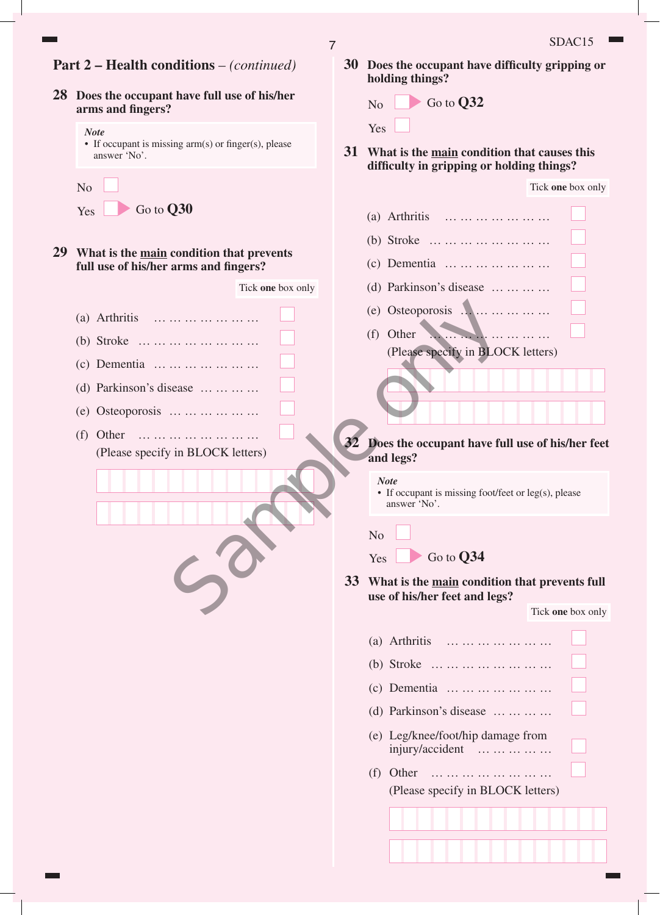

| <b>Part 2 – Health conditions</b> – (continued) |  |  |
|-------------------------------------------------|--|--|
|-------------------------------------------------|--|--|

|    |                                                                                     |           | holding things?                                                                                 |
|----|-------------------------------------------------------------------------------------|-----------|-------------------------------------------------------------------------------------------------|
|    | 28 Does the occupant have full use of his/her<br>arms and fingers?                  |           | Go to Q32<br>N <sub>o</sub>                                                                     |
|    | <b>Note</b><br>• If occupant is missing arm(s) or finger(s), please<br>answer 'No'. | 31        | Yes<br>What is the main condition that causes this<br>difficulty in gripping or holding things? |
|    | N <sub>o</sub>                                                                      |           | Tick one box only                                                                               |
|    | Go to Q30<br>Yes                                                                    |           | (a) Arthritis                                                                                   |
| 29 | What is the main condition that prevents<br>full use of his/her arms and fingers?   |           | (b) Stroke<br>(c) Dementia                                                                      |
|    | Tick one box only                                                                   |           | (d) Parkinson's disease                                                                         |
|    | (a) Arthritis                                                                       |           |                                                                                                 |
|    | (b) Stroke                                                                          |           | (f) Other                                                                                       |
|    | (c) Dementia                                                                        |           | (Please specify in BLOCK letters)                                                               |
|    | (d) Parkinson's disease $\dots \dots \dots$                                         |           |                                                                                                 |
|    | (e) Osteoporosis $\dots \dots \dots \dots$                                          |           |                                                                                                 |
|    | (f) Other<br>(Please specify in BLOCK letters)                                      | 32        | Does the occupant have full use of his/her feet<br>and legs?                                    |
|    |                                                                                     |           | <b>Note</b><br>• If occupant is missing foot/feet or leg(s), please<br>answer 'No'.             |
|    | $-2$                                                                                |           | No<br>المساء<br>Go to Q34<br>Yes                                                                |
|    |                                                                                     | <b>33</b> | What is the main condition that prevents full                                                   |
|    |                                                                                     |           | use of his/her feet and legs?<br>Tick one box only                                              |
|    |                                                                                     |           |                                                                                                 |
|    |                                                                                     |           | (a) Arthritis                                                                                   |
|    |                                                                                     |           | (b) Stroke $\dots \dots \dots \dots \dots \dots \dots$<br>(c) Dementia                          |
|    |                                                                                     |           | (d) Parkinson's disease $\dots \dots \dots$                                                     |
|    |                                                                                     |           | (e) Leg/knee/foot/hip damage from                                                               |
|    |                                                                                     |           | injury/accident                                                                                 |
|    |                                                                                     |           | $(f)$ Other<br>(Please specify in BLOCK letters)                                                |
|    |                                                                                     |           |                                                                                                 |
|    |                                                                                     |           |                                                                                                 |
|    |                                                                                     |           |                                                                                                 |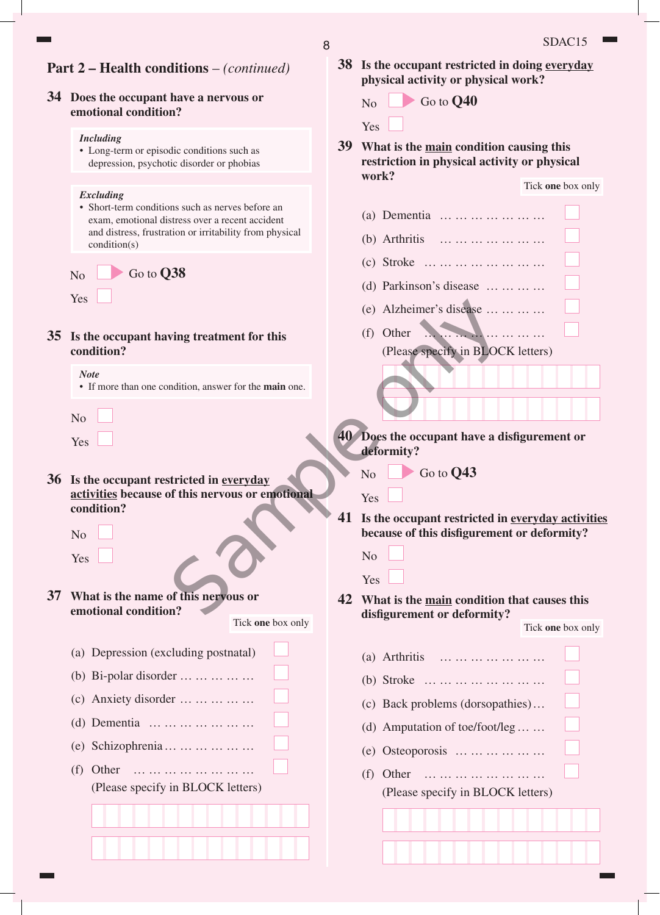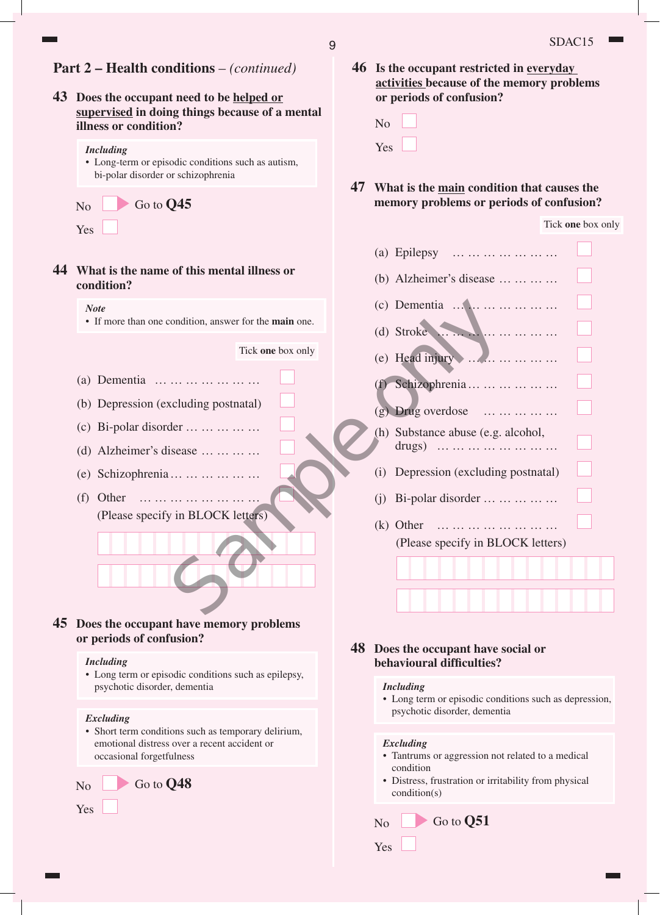Tick **one** box only

# **Part 2 – Health conditions** – *(continued)* **46 Is the occupant restricted in everyday**

**43 Does the occupant need to be helped or supervised in doing things because of a mental illness or condition?**

#### *Including*

• Long-term or episodic conditions such as autism, bi-polar disorder or schizophrenia

No Go to Q45 Yes

# **44 What is the name of this mental illness or condition?**

#### *Note*

• If more than one condition, answer for the **main** one.

- (a) Dementia … … … … … … …
- (b) Depression (excluding postnatal)
- $(c)$  Bi-polar disorder  $\dots \dots \dots \dots$
- (d) Alzheimer's disease … … …
- (e) Schizophrenia … … … … … …
- (f) Other … … … … … … … … (Please specify in BLOCK letters)

### **45 Does the occupant have memory problems or periods of confusion?**

#### *Including*

• Long term or episodic conditions such as epilepsy, psychotic disorder, dementia

#### *Excluding*

• Short term conditions such as temporary delirium, emotional distress over a recent accident or occasional forgetfulness

No Go to  $\overline{Q48}$ Yes

**activities because of the memory problems or periods of confusion?**

| Nο  |  |
|-----|--|
| Yes |  |

### **47 What is the main condition that causes the memory problems or periods of confusion?**

| e of this mental illness or                                                    | (a) Epilepsy<br>(b) Alzheimer's disease $\dots \dots \dots$                                                                                                                    |
|--------------------------------------------------------------------------------|--------------------------------------------------------------------------------------------------------------------------------------------------------------------------------|
| condition, answer for the main one.                                            | (c) Dementia $\dots \dots \dots \dots$                                                                                                                                         |
| Tick one box only                                                              |                                                                                                                                                                                |
| xcluding postnatal)<br>der<br>lisease<br>1      .<br>.<br>y in BLOCK letters). | $(f)$ Schizophrenia<br>$(g)$ Drug overdose<br>(h) Substance abuse (e.g. alcohol,<br>drugs)<br>Depression (excluding postnatal)<br>(i)<br>Bi-polar disorder<br>(i)<br>(k) Other |
|                                                                                | (Please specify in BLOCK letters)                                                                                                                                              |

### **48 Does the occupant have social or behavioural difficulties?**

#### *Including*

• Long term or episodic conditions such as depression, psychotic disorder, dementia

#### *Excluding*

Yes

- Tantrums or aggression not related to a medical condition
- Distress, frustration or irritability from physical condition(s)

No Go to Q51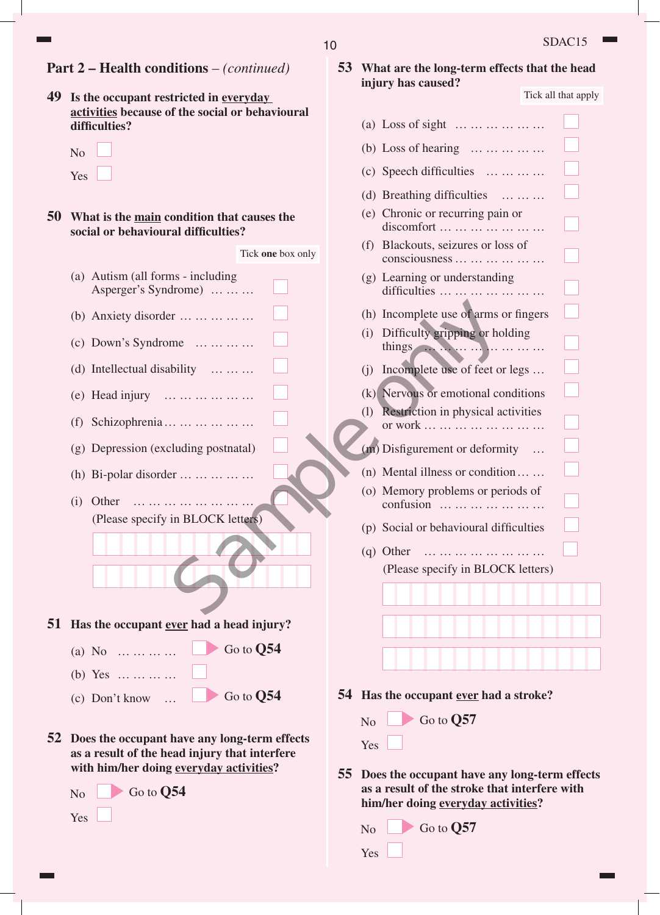**49 Is the occupant restricted in everyday activities because of the social or behavioural difficulties?**

| No  |  |
|-----|--|
| Yes |  |

Yes |

**50 What is the main condition that causes the social or behavioural difficulties?**

|    |                | (a) Autism (all forms - including<br>Asperger's Syndrome)                                     |    | (g) Learning or understanding<br>difficulties    |
|----|----------------|-----------------------------------------------------------------------------------------------|----|--------------------------------------------------|
|    |                | (b) Anxiety disorder $\dots \dots \dots$                                                      |    | (h) Incomplete use of arms                       |
|    |                | (c) Down's Syndrome $\dots \dots \dots$                                                       |    | (i) Difficulty gripping or ho<br>things $\ldots$ |
|    |                | (d) Intellectual disability $\dots \dots$                                                     |    | (j) Incomplete use of feet of                    |
|    |                | (e) Head injury $\dots \dots \dots \dots \dots$                                               |    | (k) Nervous or emotional co                      |
|    |                | (f) Schizophrenia                                                                             |    | (1) Restriction in physical a<br>or work      .  |
|    |                | (g) Depression (excluding postnatal)                                                          |    | (m) Disfigurement or deform                      |
|    |                | (h) Bi-polar disorder                                                                         |    | (n) Mental illness or conditi                    |
|    |                | (i) Other                                                                                     |    | (o) Memory problems or pe<br>confusion           |
|    |                | (Please specify in BLOCK letters)                                                             |    | (p) Social or behavioural dif                    |
|    |                |                                                                                               |    | (q) Other<br>(Please specify in BLOC             |
|    |                | 51 Has the occupant ever had a head injury?                                                   |    |                                                  |
|    |                | $\sim$ Go to Q54<br>(a) No                                                                    |    |                                                  |
|    |                | (b) Yes                                                                                       |    |                                                  |
|    |                | Go to Q54<br>(c) Don't know $\ldots$                                                          |    | 54 Has the occupant ever had                     |
| 52 |                |                                                                                               |    | $\triangleright$ Go to Q57<br>No                 |
|    |                | Does the occupant have any long-term effects<br>as a result of the head injury that interfere |    | Yes                                              |
|    |                | with him/her doing everyday activities?                                                       | 55 | Does the occupant have any                       |
|    | N <sub>o</sub> | $\triangleright$ Go to Q54                                                                    |    | as a result of the stroke tha                    |

| 53 What are the long-term effects that the head |                     |
|-------------------------------------------------|---------------------|
| injury has caused?                              |                     |
|                                                 | Tick all that apply |

|    |                                                                                               | (a) Loss of sight $\dots \dots \dots \dots \dots$              |  |  |             |  |  |  |  |  |            |  |  |  |
|----|-----------------------------------------------------------------------------------------------|----------------------------------------------------------------|--|--|-------------|--|--|--|--|--|------------|--|--|--|
|    |                                                                                               | (b) Loss of hearing $\dots \dots \dots \dots$                  |  |  |             |  |  |  |  |  |            |  |  |  |
|    |                                                                                               | $(c)$ Speech difficulties $\dots \dots \dots$                  |  |  |             |  |  |  |  |  |            |  |  |  |
|    |                                                                                               | (d) Breathing difficulties $\dots \dots$                       |  |  |             |  |  |  |  |  |            |  |  |  |
|    |                                                                                               | (e) Chronic or recurring pain or                               |  |  |             |  |  |  |  |  | discomfort |  |  |  |
|    |                                                                                               | (f) Blackouts, seizures or loss of                             |  |  |             |  |  |  |  |  |            |  |  |  |
|    |                                                                                               | consciousness<br>(g) Learning or understanding<br>difficulties |  |  |             |  |  |  |  |  |            |  |  |  |
|    |                                                                                               | (h) Incomplete use of arms or fingers                          |  |  |             |  |  |  |  |  |            |  |  |  |
|    | (i)                                                                                           | Difficulty gripping or holding                                 |  |  |             |  |  |  |  |  |            |  |  |  |
|    | (i)                                                                                           | Incomplete use of feet or legs                                 |  |  |             |  |  |  |  |  |            |  |  |  |
|    |                                                                                               | (k) Nervous or emotional conditions                            |  |  |             |  |  |  |  |  |            |  |  |  |
|    |                                                                                               | (1) Restriction in physical activities                         |  |  |             |  |  |  |  |  |            |  |  |  |
|    |                                                                                               |                                                                |  |  |             |  |  |  |  |  | or work    |  |  |  |
|    |                                                                                               | $(m)$ Disfigurement or deformity $\dots$                       |  |  |             |  |  |  |  |  |            |  |  |  |
|    |                                                                                               | $(n)$ Mental illness or condition $\dots$                      |  |  |             |  |  |  |  |  |            |  |  |  |
|    |                                                                                               | (o) Memory problems or periods of                              |  |  |             |  |  |  |  |  | confusion  |  |  |  |
|    |                                                                                               | (p) Social or behavioural difficulties                         |  |  |             |  |  |  |  |  |            |  |  |  |
|    |                                                                                               | $(q)$ Other                                                    |  |  |             |  |  |  |  |  |            |  |  |  |
|    |                                                                                               | (Please specify in BLOCK letters)                              |  |  |             |  |  |  |  |  |            |  |  |  |
|    |                                                                                               |                                                                |  |  |             |  |  |  |  |  |            |  |  |  |
|    |                                                                                               |                                                                |  |  |             |  |  |  |  |  |            |  |  |  |
|    |                                                                                               |                                                                |  |  |             |  |  |  |  |  |            |  |  |  |
|    |                                                                                               |                                                                |  |  |             |  |  |  |  |  |            |  |  |  |
|    | 54 Has the occupant ever had a stroke?                                                        |                                                                |  |  |             |  |  |  |  |  |            |  |  |  |
|    | N <sub>o</sub>                                                                                |                                                                |  |  | Go to $Q57$ |  |  |  |  |  |            |  |  |  |
|    | Yes                                                                                           |                                                                |  |  |             |  |  |  |  |  |            |  |  |  |
| 55 | Does the occupant have any long-term effects<br>as a result of the stroke that interfere with |                                                                |  |  |             |  |  |  |  |  |            |  |  |  |

 $\overline{N_0}$  Go to **Q57** Yes

**him/her doing everyday activities?**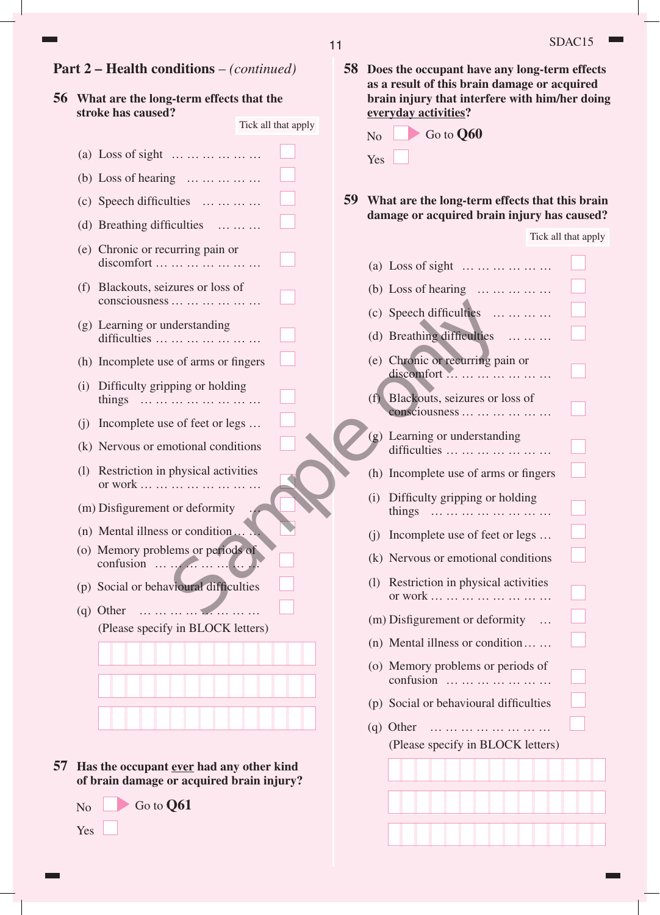# **Part 2 – Health conditions** – *(continued)*

**56 What are the long-term effects that the stroke has caused?** Tick all that apply

|     | (a) Loss of sight                                |  |  |  |  |  |  |
|-----|--------------------------------------------------|--|--|--|--|--|--|
|     | (b) Loss of hearing $\dots \dots \dots \dots$    |  |  |  |  |  |  |
|     | $(c)$ Speech difficulties                        |  |  |  |  |  |  |
|     | (d) Breathing difficulties $\dots \dots$         |  |  |  |  |  |  |
|     | (e) Chronic or recurring pain or<br>discomfort   |  |  |  |  |  |  |
| (f) | Blackouts, seizures or loss of<br>consciousness  |  |  |  |  |  |  |
| (g) | Learning or understanding<br>difficulties        |  |  |  |  |  |  |
|     | (h) Incomplete use of arms or fingers            |  |  |  |  |  |  |
| (i) | Difficulty gripping or holding<br>things<br>.    |  |  |  |  |  |  |
| (i) | Incomplete use of feet or legs                   |  |  |  |  |  |  |
|     | (k) Nervous or emotional conditions              |  |  |  |  |  |  |
| (1) | Restriction in physical activities<br>or work    |  |  |  |  |  |  |
|     | (m) Disfigurement or deformity                   |  |  |  |  |  |  |
|     | $(n)$ Mental illness or condition                |  |  |  |  |  |  |
|     | (o) Memory problems or periods of<br>$confusion$ |  |  |  |  |  |  |
|     | (p) Social or behavioural difficulties           |  |  |  |  |  |  |
|     | $(q)$ Other                                      |  |  |  |  |  |  |
|     | (Please specify in BLOCK letters)                |  |  |  |  |  |  |
|     |                                                  |  |  |  |  |  |  |
|     |                                                  |  |  |  |  |  |  |
|     |                                                  |  |  |  |  |  |  |
|     |                                                  |  |  |  |  |  |  |

**57 Has the occupant ever had any other kind of brain damage or acquired brain injury?**



| 58 Does the occupant have any long-term effects |
|-------------------------------------------------|
| as a result of this brain damage or acquired    |
| brain injury that interfere with him/her doing  |
| everyday activities?                            |
|                                                 |

| N <sub>o</sub> | Go to Q60 |
|----------------|-----------|
| Yes            |           |

**59 What are the long-term effects that this brain damage or acquired brain injury has caused?**

| Tick all that apply |  |  |
|---------------------|--|--|
|---------------------|--|--|

| $\mu$ unnig pam $\sigma$                               |                                                                                      |  |
|--------------------------------------------------------|--------------------------------------------------------------------------------------|--|
| . <b> </b>                                             | (a) Loss of sight                                                                    |  |
| izures or loss of                                      | (b) Loss of hearing $\dots \dots \dots \dots$                                        |  |
| 3                                                      | (c) Speech difficulties                                                              |  |
| nderstanding<br>.                                      | (d) Breathing difficulties                                                           |  |
| se of arms or fingers                                  | (e) Chronic or recurring pain or                                                     |  |
| pping or holding                                       | discomfort                                                                           |  |
| .                                                      | (f) Blackouts, seizures or loss of<br>consciousness                                  |  |
| se of feet or legs<br>motional conditions              | (g) Learning or understanding<br>difficulties                                        |  |
| physical activities                                    | (h) Incomplete use of arms or fingers                                                |  |
| .<br>t or deformity                                    | (i) Difficulty gripping or holding<br>things                                         |  |
| $s$ or condition                                       | (j) Incomplete use of feet or legs $\dots$                                           |  |
| lems or periods of<br>$\cdots$ . $\cdots$ . $\cdots$ . | (k) Nervous or emotional conditions                                                  |  |
| wioural difficulties                                   | (1) Restriction in physical activities<br>or work                                    |  |
| y in BLOCK letters)                                    | $(m)$ Disfigurement or deformity                                                     |  |
|                                                        | (n) Mental illness or condition $\dots$                                              |  |
|                                                        | (o) Memory problems or periods of<br>confusion $\dots \dots \dots \dots \dots \dots$ |  |
|                                                        | (p) Social or behavioural difficulties                                               |  |
|                                                        | $(q)$ Other<br>                                                                      |  |
|                                                        | (Please specify in BLOCK letters)                                                    |  |
| t ever had any other kind<br>or acquired brain injury? |                                                                                      |  |
| Q61                                                    |                                                                                      |  |
|                                                        |                                                                                      |  |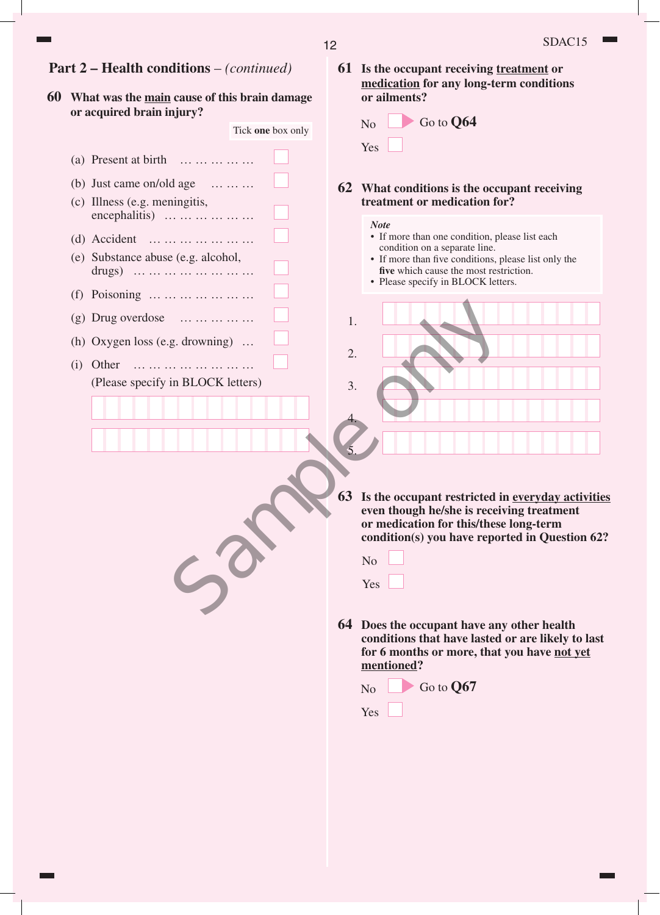**61 Is the occupant receiving treatment or** 

**or ailments?**

No Go to  $Q64$ 

**medication for any long-term conditions** 

# **Part 2 – Health conditions** – *(continued)*

**60 What was the main cause of this brain damage or acquired brain injury?**

|                                                     | Yes                                                                                              |
|-----------------------------------------------------|--------------------------------------------------------------------------------------------------|
| (a) Present at birth $\dots \dots \dots \dots$      |                                                                                                  |
| (b) Just came on/old age $\dots \dots$              | 62 What conditions is the occupant receiving                                                     |
| (c) Illness (e.g. meningitis,                       | treatment or medication for?                                                                     |
| encephalitis) $\dots \dots \dots \dots \dots$       | <b>Note</b>                                                                                      |
| (d) Accident $\dots \dots \dots \dots \dots \dots$  | • If more than one condition, please list each                                                   |
| (e) Substance abuse (e.g. alcohol,                  | condition on a separate line.<br>• If more than five conditions, please list only the            |
| drugs)                                              | five which cause the most restriction.<br>• Please specify in BLOCK letters.                     |
| (f) Poisoning $\dots \dots \dots \dots \dots \dots$ |                                                                                                  |
| (g) Drug overdose $\dots \dots \dots \dots$         | 1.                                                                                               |
|                                                     |                                                                                                  |
| (h) Oxygen loss (e.g. drowning) $\dots$             | 2.                                                                                               |
| (i) Other<br>.                                      |                                                                                                  |
| (Please specify in BLOCK letters)                   | 3.                                                                                               |
|                                                     |                                                                                                  |
|                                                     | 4.                                                                                               |
|                                                     |                                                                                                  |
|                                                     |                                                                                                  |
|                                                     |                                                                                                  |
|                                                     | 63<br>Is the occupant restricted in everyday activities                                          |
|                                                     | even though he/she is receiving treatment<br>or medication for this/these long-term              |
|                                                     | condition(s) you have reported in Question 62?                                                   |
|                                                     | N <sub>o</sub>                                                                                   |
|                                                     |                                                                                                  |
|                                                     | Yes                                                                                              |
|                                                     |                                                                                                  |
|                                                     | 64 Does the occupant have any other health                                                       |
|                                                     | conditions that have lasted or are likely to last<br>for 6 months or more, that you have not yet |
|                                                     | mentioned?                                                                                       |
|                                                     | No $\Box$ Go to Q67                                                                              |
|                                                     |                                                                                                  |
|                                                     | Yes                                                                                              |
|                                                     |                                                                                                  |
|                                                     |                                                                                                  |
|                                                     |                                                                                                  |
|                                                     |                                                                                                  |
|                                                     |                                                                                                  |
|                                                     |                                                                                                  |
|                                                     |                                                                                                  |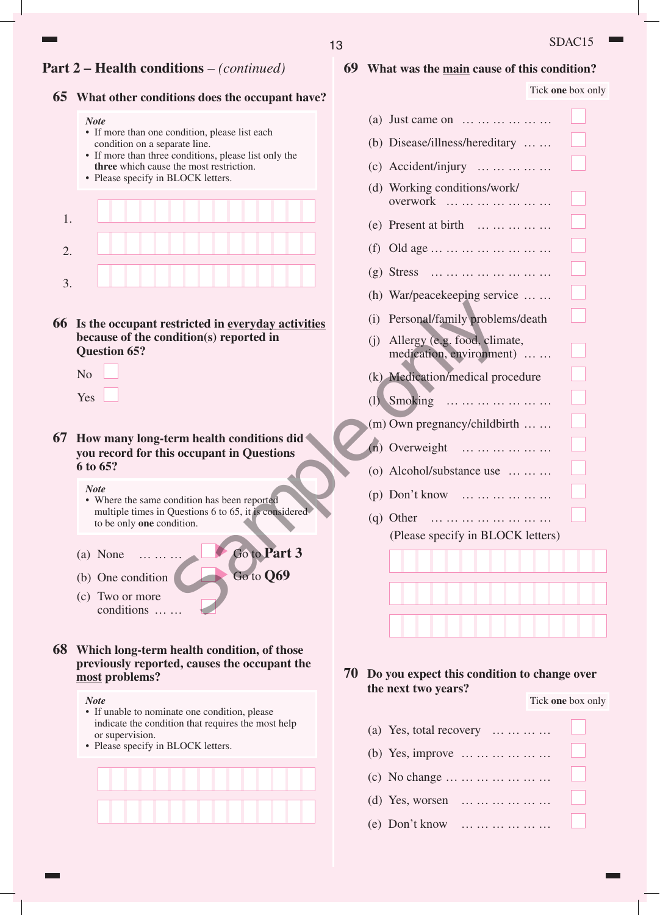Tick **one** box only

# **Part 2 – Health conditions** – *(continued)*

### **65 What other conditions does the occupant have?**

#### *Note*

- If more than one condition, please list each condition on a separate line.
- If more than three conditions, please list only the **three** which cause the most restriction.
- Please specify in BLOCK letters.



### **66 Is the occupant restricted in everyday activities because of the condition(s) reported in Question 65?**

| N <sub>0</sub> |  |
|----------------|--|
| Yes            |  |

### **67 How many long-term health conditions did you record for this occupant in Questions 6 to 65?**

#### *Note*

• Where the same condition has been reported multiple times in Questions 6 to 65, it is considered to be only **one** condition.

- (a) None … … … Go to **Part 3**
- (b) One condition Go to Q69
- (c) Two or more conditions …

### **68 Which long-term health condition, of those previously reported, causes the occupant the most problems?**

#### *Note*

- If unable to nominate one condition, please indicate the condition that requires the most help or supervision.
- Please specify in BLOCK letters.

|  |  |  |  |  |  |  |  | 69 What was the main cause of this condition? |  |
|--|--|--|--|--|--|--|--|-----------------------------------------------|--|
|--|--|--|--|--|--|--|--|-----------------------------------------------|--|

| itions does the occupant have?                                                                                                        |                                                                                                                                                                           |  |
|---------------------------------------------------------------------------------------------------------------------------------------|---------------------------------------------------------------------------------------------------------------------------------------------------------------------------|--|
| condition, please list each<br>parate line.<br>e conditions, please list only the<br>e the most restriction.<br><b>BLOCK</b> letters. | (a) Just came on $\dots \dots \dots \dots \dots$<br>(b) Disease/illness/hereditary<br>$(c)$ Accident/injury<br>(d) Working conditions/work/                               |  |
|                                                                                                                                       | overwork<br>(e) Present at birth $\dots \dots \dots \dots$<br>(f) Old age<br>(g) Stress                                                                                   |  |
| estricted in everyday activities<br>ndition(s) reported in                                                                            | (h) War/peacekeeping service<br>(i) Personal/family problems/death<br>Allergy (e.g. food, climate,<br>(i)<br>medication, environment)<br>(k) Medication/medical procedure |  |
| term health conditions did<br>is occupant in Questions                                                                                | $(1)$ Smoking<br>(m) Own pregnancy/childbirth<br>$(n)$ Overweight<br>(o) Alcohol/substance use                                                                            |  |
| condition has been reported<br>Questions 6 to 65, it is considered<br>ndition.<br>Go to Part 3<br>Go to $Q69$                         | (p) Don't know<br>$(q)$ Other<br>(Please specify in BLOCK letters)                                                                                                        |  |
|                                                                                                                                       |                                                                                                                                                                           |  |

# **70 Do you expect this condition to change over the next two years?**

| Tick one box only |  |  |
|-------------------|--|--|
|-------------------|--|--|

| (a) Yes, total recovery $\dots \dots \dots$      |   |  |  |
|--------------------------------------------------|---|--|--|
| (b) Yes, improve $\dots \dots \dots \dots \dots$ |   |  |  |
| (c) No change                                    |   |  |  |
| (d) Yes, worsen                                  |   |  |  |
| (e) Don't know                                   | . |  |  |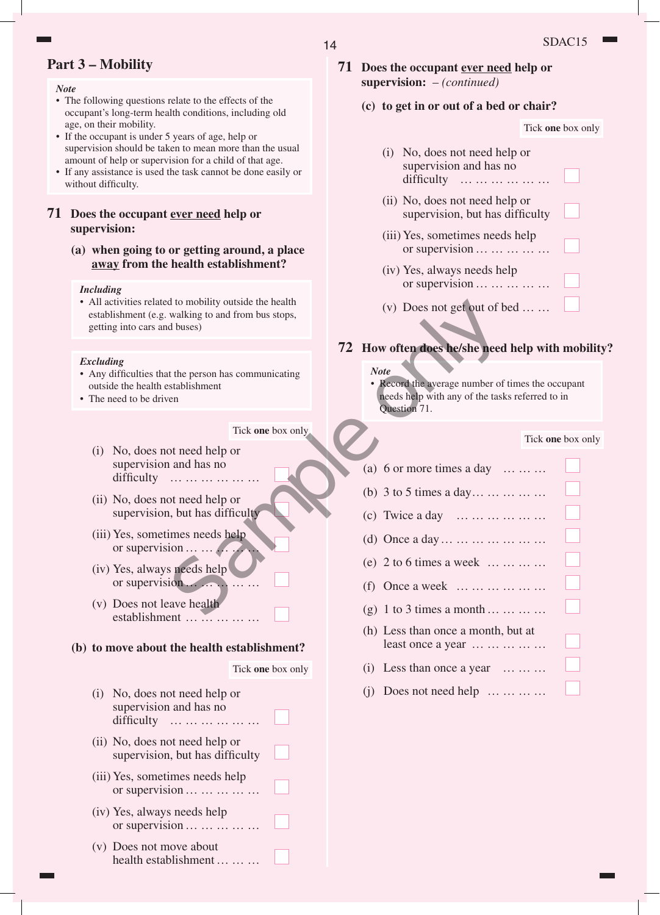# **Part 3 – Mobility**

### *Note*

- The following questions relate to the effects of the occupant's long-term health conditions, including old age, on their mobility.
- If the occupant is under 5 years of age, help or supervision should be taken to mean more than the usual amount of help or supervision for a child of that age.
- If any assistance is used the task cannot be done easily or without difficulty.

### **71 Does the occupant ever need help or supervision:**

**(a) when going to or getting around, a place away from the health establishment?**

#### *Including*

• All activities related to mobility outside the health establishment (e.g. walking to and from bus stops, getting into cars and buses)

#### *Excluding*

- Any difficulties that the person has communicating outside the health establishment
- 

|           |  | (i) No, does not need help or<br>supervision and has no<br>difficulty |  |
|-----------|--|-----------------------------------------------------------------------|--|
| $\lambda$ |  |                                                                       |  |

- (ii) No, does not need help or supervision, but has difficulty
- (iii) Yes, sometimes needs help or supervision  $\dots \dots$
- (iv) Yes, always needs help or supervision ...
- (v) Does not leave health establishment … … … … …

#### **(b) to move about the health establishment?**

#### Tick **one** box only

| (i) | No, does not need help or<br>supervision and has no<br>difficulty           |  |
|-----|-----------------------------------------------------------------------------|--|
|     | (ii) No, does not need help or<br>supervision, but has difficulty           |  |
|     | (iii) Yes, sometimes needs help<br>or supervision $\dots \dots \dots \dots$ |  |
|     | (iv) Yes, always needs help<br>or supervision $\dots \dots \dots \dots$     |  |
|     | (v) Does not move about<br>health establishment                             |  |

**71 Does the occupant ever need help or supervision:** – *(continued)*

### **(c) to get in or out of a bed or chair?**

# (i) No, does not need help or supervision and has no difficulty … … … … … … Tick **one** box only

- (ii) No, does not need help or supervision, but has difficulty
- (iii) Yes, sometimes needs help or supervision … … … … …
- (iv) Yes, always needs help or supervision … … … … …
- (v) Does not get out of bed … …

### **72 How often does he/she need help with mobility?**

### *Note*

| <i>A</i> in activities related to mobility butside the nearly<br>establishment (e.g. walking to and from bus stops,<br>getting into cars and buses) | (v) Does not get out of bed $\dots$                                                                                                                                                    |
|-----------------------------------------------------------------------------------------------------------------------------------------------------|----------------------------------------------------------------------------------------------------------------------------------------------------------------------------------------|
| <b>Excluding</b><br>• Any difficulties that the person has communicating<br>outside the health establishment<br>• The need to be driven             | 72 How often does he/she need help with mobilit<br><b>Note</b><br>• Record the average number of times the occupant<br>needs help with any of the tasks referred to in<br>Question 71. |
| Tick one box only                                                                                                                                   | Tick one box only                                                                                                                                                                      |
| No, does not need help or<br>(i)<br>supervision and has no<br>difficulty $\dots \dots \dots \dots \dots$                                            | (a) 6 or more times a day $\dots \dots$                                                                                                                                                |
| (ii) No, does not need help or                                                                                                                      | (b) $3 \text{ to } 5 \text{ times a day   }$                                                                                                                                           |
| supervision, but has difficulty<br>(iii) Yes, sometimes needs help                                                                                  | (c) Twice a day $\dots \dots \dots \dots \dots$<br>(d) Once a day                                                                                                                      |
| or supervision $\dots \dots$<br>(iv) Yes, always needs help                                                                                         | (e) $2$ to 6 times a week                                                                                                                                                              |
| (v) Does not leave health                                                                                                                           | (f) Once a week<br>(g) 1 to 3 times a month                                                                                                                                            |
| establishment                                                                                                                                       | (h) Less than once a month, but at                                                                                                                                                     |
| (b) to move about the health establishment?                                                                                                         | least once a year                                                                                                                                                                      |
| Tick one box only                                                                                                                                   | (i) Less than once a year $\dots \dots$                                                                                                                                                |
| (i) No, does not need help or                                                                                                                       | (j) Does not need help $\dots \dots \dots$                                                                                                                                             |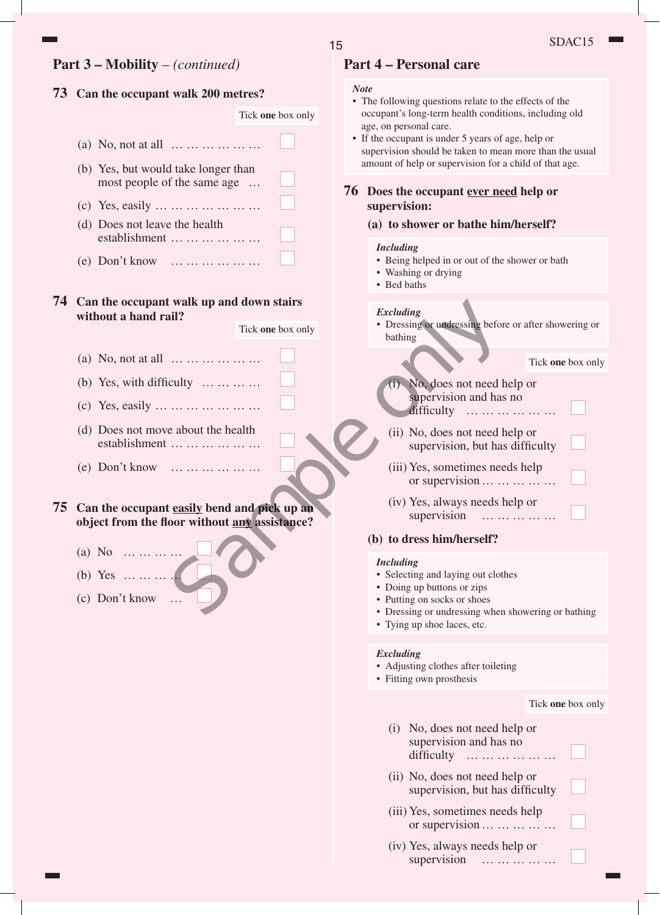# **Part 3 – Mobility** – *(continued)*

### **73 Can the occupant walk 200 metres?**

|                                                                    | Tick one box only |
|--------------------------------------------------------------------|-------------------|
| (a) No, not at all $\dots \dots \dots \dots \dots$                 |                   |
| (b) Yes, but would take longer than<br>most people of the same age |                   |
| (c) Yes, easily                                                    |                   |
| (d) Does not leave the health<br>$estabilishment$                  |                   |
| Don't know                                                         |                   |

### **74 Can the occupant walk up and down stairs without a hand rail?**

Tick **one** box only

- (b) Yes, with difficulty … … … … (c) Yes, easily … … … … … … … (a) No, not at all … … … … … … (d) Does not move about the health establishment … … … … … … Excluding<br>
Sample of the base of the base of the base of the base of the base of the base of the base of the base of the base of the base of supervision, but has experiment the allow without any assistance?<br>
Sample of the
- (e) Don't know … … … … … …

## **75 Can the occupant easily bend and pick up an object from the floor without any assistance?**

- (a) No … … … …
- (b) Yes … … … …
- (c) Don't know …

# **Part 4 – Personal care**

#### *Note*

- The following questions relate to the effects of the occupant's long-term health conditions, including old age, on personal care.
- If the occupant is under 5 years of age, help or supervision should be taken to mean more than the usual amount of help or supervision for a child of that age.

### **76 Does the occupant ever need help or supervision:**

### **(a) to shower or bathe him/herself?**

#### *Including*

- Being helped in or out of the shower or bath
- Washing or drying
- Bed baths

### *Excluding*

• Dressing or undressing before or after showering or bathing

### Tick **one** box only

## No, does not need help or supervision and has no difficulty … … … … … …

- (ii) No, does not need help or supervision, but has difficulty
- (iii) Yes, sometimes needs help or supervision … … … … …
- (iv) Yes, always needs help or supervision … … … … …

### **(b) to dress him/herself?**

### *Including*

- Selecting and laying out clothes
- Doing up buttons or zips
- Putting on socks or shoes
- Dressing or undressing when showering or bathing
- Tying up shoe laces, etc.

• Fitting own prosthesis

### *Excluding*

• Adjusting clothes after toileting

# Tick **one** box only



(iv) Yes, always needs help or supervision … … … … …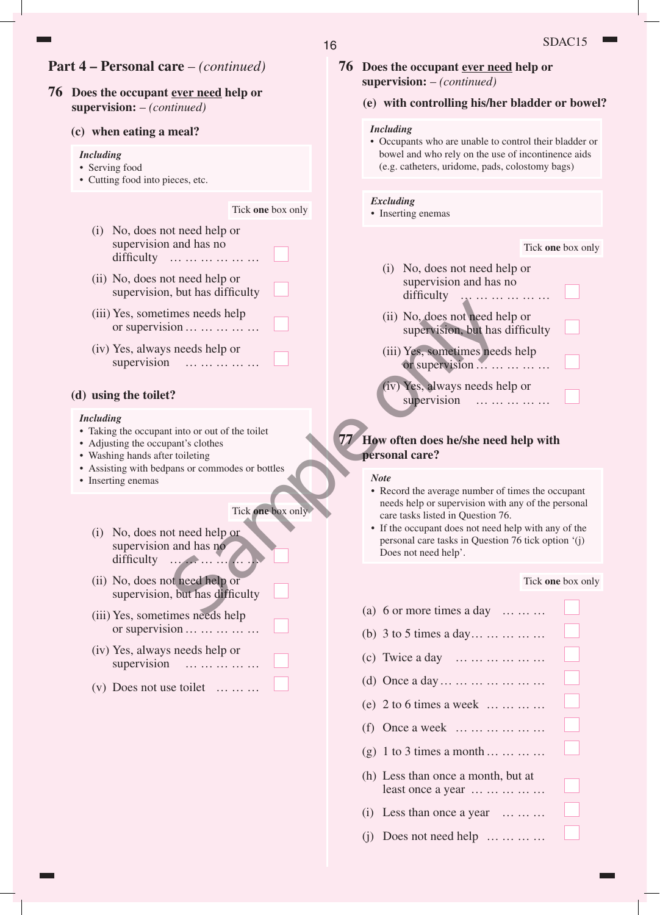# **76 Does the occupant ever need help or supervision:** – *(continued)*

#### **(c) when eating a meal?**

#### *Including*

- Serving food
- Cutting food into pieces, etc.

Tick **one** box only

- (i) No, does not need help or supervision and has no difficulty … … … … … …
- (ii) No, does not need help or supervision, but has difficulty
- (iii) Yes, sometimes needs help or supervision … … … … …
- (iv) Yes, always needs help or supervision … … … … …

### **(d) using the toilet?**

#### *Including*

- Taking the occupant into or out of the toilet
- Adjusting the occupant's clothes
- Washing hands after toileting
- Assisting with bedpans or commodes or bottles
- Inserting enemas

### Tick **one** box only

- (i) No, does not need help or supervision and has no difficulty
- (ii) No, does not need help or supervision, but has difficulty
- (iii) Yes, sometimes needs help or supervision … … … … …
- (iv) Yes, always needs help or supervision … … … … …
- (v) Does not use toilet … …

# **(e) with controlling his/her bladder or bowel? 76 Does the occupant ever need help or supervision:** – *(continued)*

#### *Including*

#### *Excluding*

#### • Inserting enemas

Tick **one** box only

- (i) No, does not need help or supervision and has no difficulty … … … … … …
- (ii) No, does not need help or supervision, but has difficulty
- (iii) Yes, sometimes needs help or supervision … … … … …
- (iv) Yes, always needs help or supervision … … … … …

### **77 How often does he/she need help with personal care?**

#### *Note*

- Record the average number of times the occupant needs help or supervision with any of the personal care tasks listed in Question 76.
- If the occupant does not need help with any of the personal care tasks in Question 76 tick option '(j) Does not need help'. imes needs help<br>
in (ii) No, does not need h<br>
supervision, but has<br>
seeds help or<br>
1<br>
tinto or out of the toilet<br>
pars or commodes or bottles<br>
pars or commodes or bottles<br>
The **How often does he/she needs**<br>
pars or commode

|     | (a) 6 or more times a day $\dots \dots$                 |  |
|-----|---------------------------------------------------------|--|
|     | (b) $3$ to $5$ times a day                              |  |
|     | (c) Twice a day $\dots \dots \dots \dots \dots$         |  |
|     | (d) Once a day                                          |  |
|     | (e) $2$ to 6 times a week                               |  |
|     | (f) Once a week                                         |  |
|     | (g) 1 to 3 times a month                                |  |
|     | (h) Less than once a month, but at<br>least once a year |  |
|     | (i) Less than once a year $\dots \dots$                 |  |
| (1) | Does not need help $\dots \dots \dots$                  |  |

<sup>•</sup> Occupants who are unable to control their bladder or bowel and who rely on the use of incontinence aids (e.g. catheters, uridome, pads, colostomy bags)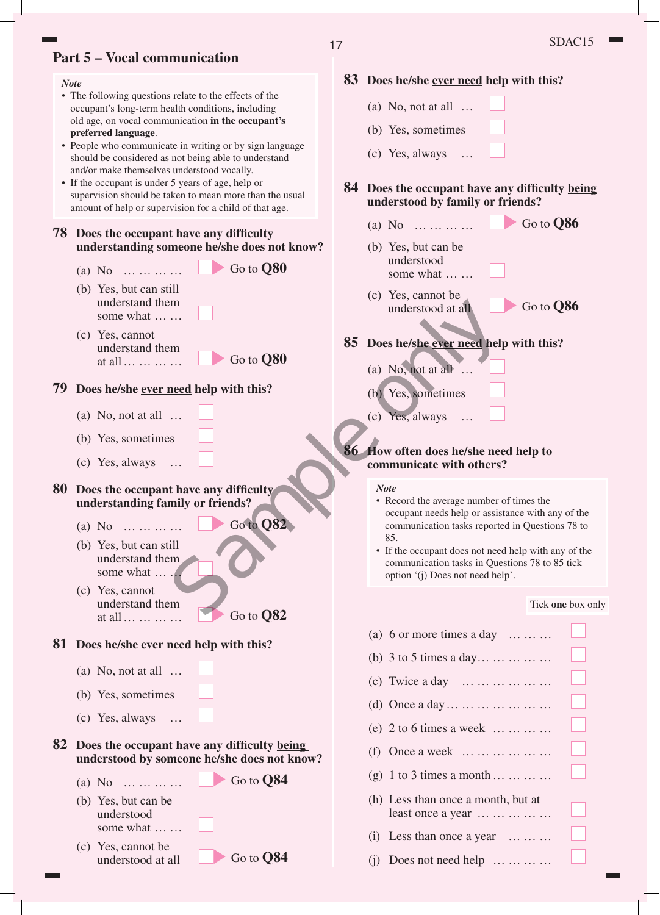#### **Part 5 – Vocal communication** *Note*  • The following questions relate to the effects of the occupant's long-term health conditions, including old age, on vocal communication **in the occupant's preferred language**. • People who communicate in writing or by sign language should be considered as not being able to understand and/or make themselves understood vocally. • If the occupant is under 5 years of age, help or supervision should be taken to mean more than the usual amount of help or supervision for a child of that age. **78 Does the occupant have any difficulty understanding someone he/she does not know?** (a) No … … … Go to **Q80** (b) Yes, but can still understand them some what … (c) Yes, cannot understand them at all … … … Go to **Q80 80 Does the occupant have any difficulty understanding family or friends?** (a) No … … … Go to **Q82** (b) Yes, but can still understand them some what … (c) Yes, cannot understand them at all … … … Go to **Q82 79 Does he/she ever need help with this?** (a) No, not at all… (b) Yes, sometimes (c) Yes, always… **82 Does the occupant have any difficulty being understood by someone he/she does not know?** (a) No … … … Go to **Q84** (b) Yes, but can be understood some what … (c) Yes, cannot be understood at all Go to **Q84 81 Does he/she ever need help with this?** (a) No, not at all… (b) Yes, sometimes (c) Yes, always… **86 How often does he/she need help to communicate with others?** (e) 2 to 6 times a week … … … … (g) 1 to 3 times a month  $\dots$   $\dots$   $\dots$ (f) Once a week … … … … … … Tick **one** box only (b) 3 to 5 times a day … … … … … (d) Once a day … … … … … … … (c) Twice a day … … … … … … (a) 6 or more times a day  $\dots \dots$ (h) Less than once a month, but at least once a year … … … … … (i) Less than once a year … … … (i) Does not need help  $\dots \dots \dots$ *Note* • Record the average number of times the occupant needs help or assistance with any of the communication tasks reported in Questions 78 to 85. • If the occupant does not need help with any of the communication tasks in Questions 78 to 85 tick option '(j) Does not need help'. **85 Does he/she ever need help with this?** (a) No, not at all… (b) Yes, sometimes (c) Yes, always… **84 Does the occupant have any difficulty being understood by family or friends?** (a) No … … … Go to **Q86** Go to **Q86** (c) Yes, cannot be understood at all (b) Yes, but can be understood some what  $\dots$ ... **83 Does he/she ever need help with this?** (a) No, not at all… (b) Yes, sometimes (c) Yes, always… understood at all<br>
... Co to Q80<br>
<br>
a No, not at all<br>
(a) No, not at all<br>
(b) Yes, sometimes<br>
...<br>
So How often does he/she ever need help<br>
(a) No, not at all<br>
...<br>
(b) Yes, sometimes<br>
(c) Yes, always<br>
...<br>
So How often do

17 SDAC15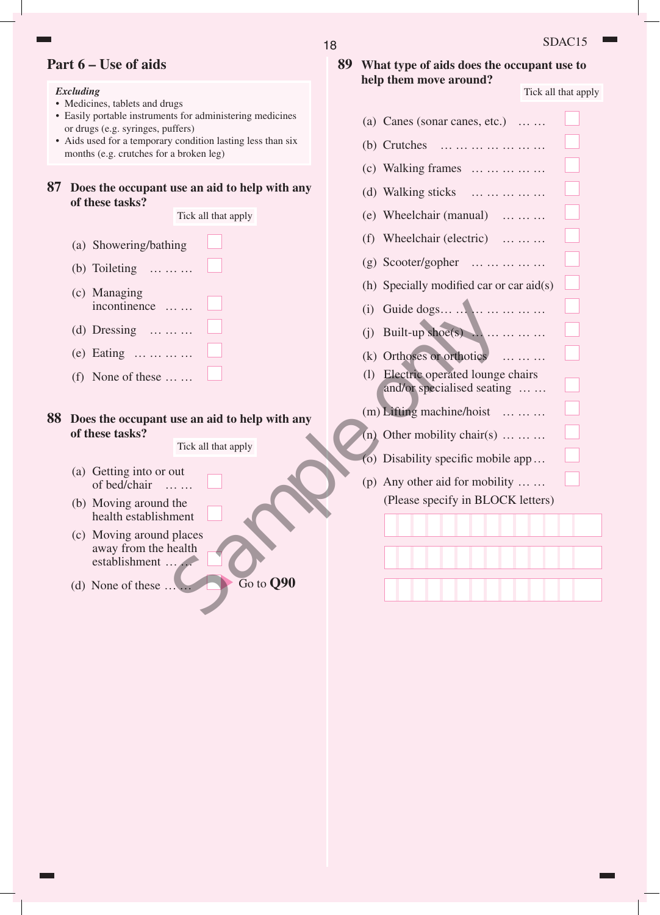# **Part 6 – Use of aids**

### *Excluding*

- Medicines, tablets and drugs
- Easily portable instruments for administering medicines or drugs (e.g. syringes, puffers)
- Aids used for a temporary condition lasting less than six months (e.g. crutches for a broken leg)

### **87 Does the occupant use an aid to help with any of these tasks?**

- (a) Showering/bathing
- (b) Toileting … … …
- (c) Managing incontinence … …
- (d) Dressing … … …
- (e) Eating … … … …
- (f) None of these … …

# **88 Does the occupant use an aid to help with any of these tasks?**

# Tick all that apply

- (a) Getting into or out of bed/chair … …
- (b) Moving around the health establishment
- (c) Moving around places away from the health establishment … …
- (d) None of these … … Go to **Q90**

# 18 SDAC15

# **89 What type of aids does the occupant use to help them move around?**

| nts for administering medicines<br>uffers)          | (a) Canes (sonar canes, etc.) $\dots$                             |  |
|-----------------------------------------------------|-------------------------------------------------------------------|--|
| y condition lasting less than six<br>a broken leg)  | (b) Crutches                                                      |  |
|                                                     | (c) Walking frames $\dots \dots \dots \dots$                      |  |
| use an aid to help with any                         | (d) Walking sticks $\dots \dots \dots \dots$                      |  |
| Tick all that apply                                 | (e) Wheelchair (manual) $\dots \dots$                             |  |
| hing                                                | (f) Wheelchair (electric) $\dots \dots$                           |  |
|                                                     | $(g)$ Scooter/gopher                                              |  |
|                                                     | (h) Specially modified car or car $aid(s)$                        |  |
| .                                                   | Guide dogs<br>(i)                                                 |  |
|                                                     | Built-up shoe(s)<br>(i)                                           |  |
|                                                     | (k) Orthoses or orthotics<br>.                                    |  |
|                                                     | (1) Electric operated lounge chairs<br>and/or specialised seating |  |
|                                                     | $(m)$ Lifting machine/hoist                                       |  |
| use an aid to help with any                         |                                                                   |  |
| Tick all that apply                                 | (n) Other mobility chair(s) $\dots \dots$                         |  |
| out                                                 | (o) Disability specific mobile app                                |  |
|                                                     | (p) Any other aid for mobility $\dots$                            |  |
| l the                                               | (Please specify in BLOCK letters)                                 |  |
| ment<br>d places                                    |                                                                   |  |
| health                                              |                                                                   |  |
|                                                     |                                                                   |  |
| $\mathrm{\overline{G}o}$ to $\mathrm{\mathbf{Q90}}$ |                                                                   |  |
|                                                     |                                                                   |  |
|                                                     |                                                                   |  |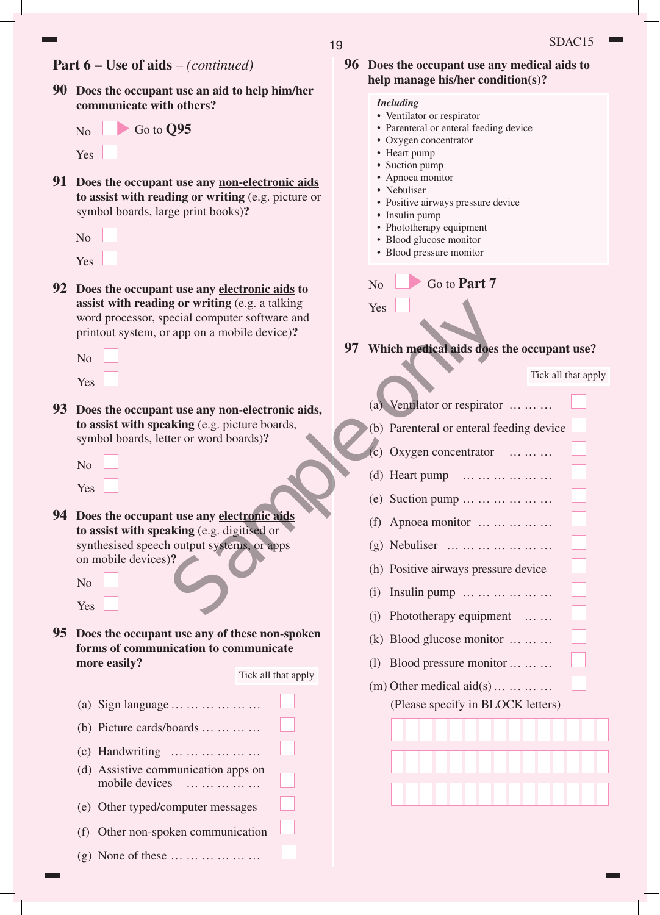# **Part 6 – Use of aids** – *(continued)*

**90 Does the occupant use an aid to help him/her communicate with others?**

| No  |  | Go to $Q95$ |  |  |
|-----|--|-------------|--|--|
| Yes |  |             |  |  |

**91 Does the occupant use any non-electronic aids to assist with reading or writing** (e.g. picture or symbol boards, large print books)**?**

| N <sub>0</sub> |  |
|----------------|--|
| Yes            |  |

**92 Does the occupant use any electronic aids to assist with reading or writing** (e.g. a talking word processor, special computer software and printout system, or app on a mobile device)**?**

| No  |  |
|-----|--|
| Yes |  |

**93 Does the occupant use any non-electronic aids, to assist with speaking** (e.g. picture boards, symbol boards, letter or word boards)**?**

| No  |  |
|-----|--|
|     |  |
| Yes |  |

**94 Does the occupant use any electronic aids to assist with speaking** (e.g. digitised or synthesised speech output systems, or apps on mobile devices)**?**

No Yes

**95 Does the occupant use any of these non-spoken forms of communication to communicate more easily?**

| (a) Sign language                                     |  |
|-------------------------------------------------------|--|
| (b) Picture cards/boards                              |  |
| $(c)$ Handwriting                                     |  |
| (d) Assistive communication apps on<br>mobile devices |  |
| (e) Other typed/computer messages                     |  |
| (f) Other non-spoken communication                    |  |
| $(g)$ None of these                                   |  |
|                                                       |  |

## **96 Does the occupant use any medical aids to help manage his/her condition(s)?**

### *Including*

- Ventilator or respirator
- Parenteral or enteral feeding device
- Oxygen concentrator
- Heart pump
- Suction pump
- Apnoea monitor
- Nebuliser
- Positive airways pressure device
- Insulin pump
- Phototherapy equipment
- Blood glucose monitor
- Blood pressure monitor

| $\rm No$ | Go to <b>Part 7</b> |
|----------|---------------------|
| Yes      |                     |

### **97 Which medical aids does the occupant use?**

| Tick all that apply |  |  |
|---------------------|--|--|
|---------------------|--|--|

| <b>ig of writting</b> (c.g. a taiking<br>becial computer software and<br>r app on a mobile device)? | Yes<br>97 Which medical aids does the occupant use?                                                                                                                                |
|-----------------------------------------------------------------------------------------------------|------------------------------------------------------------------------------------------------------------------------------------------------------------------------------------|
|                                                                                                     | Tick all that apply                                                                                                                                                                |
| nt use any non-electronic aids,<br>aking (e.g. picture boards,<br>tter or word boards)?             | (a) Ventilator or respirator $\dots \dots$<br>(b) Parenteral or enteral feeding device<br>(c) Oxygen concentrator $\dots \dots$                                                    |
| nt use any electronic aids<br>aking (e.g. digitised or<br>n output systems, or apps<br>$)$ ?        | (d) Heart pump $\ldots \ldots \ldots \ldots \ldots$<br>(e) Suction pump<br>(f) Apnoea monitor $\dots \dots \dots \dots$<br>$(g)$ Nebuliser<br>(h) Positive airways pressure device |
| t use any of these non-spoken<br>nication to communicate                                            | Insulin pump $\dots \dots \dots \dots$<br>(i)<br>$(i)$ Phototherapy equipment<br>$(k)$ Blood glucose monitor<br>(1) Blood pressure monitor                                         |
| Tick all that apply                                                                                 | $(m)$ Other medical aid $(s)$                                                                                                                                                      |
| boards<br>.<br>munication apps on<br>'S                                                             | (Please specify in BLOCK letters)                                                                                                                                                  |
| .                                                                                                   |                                                                                                                                                                                    |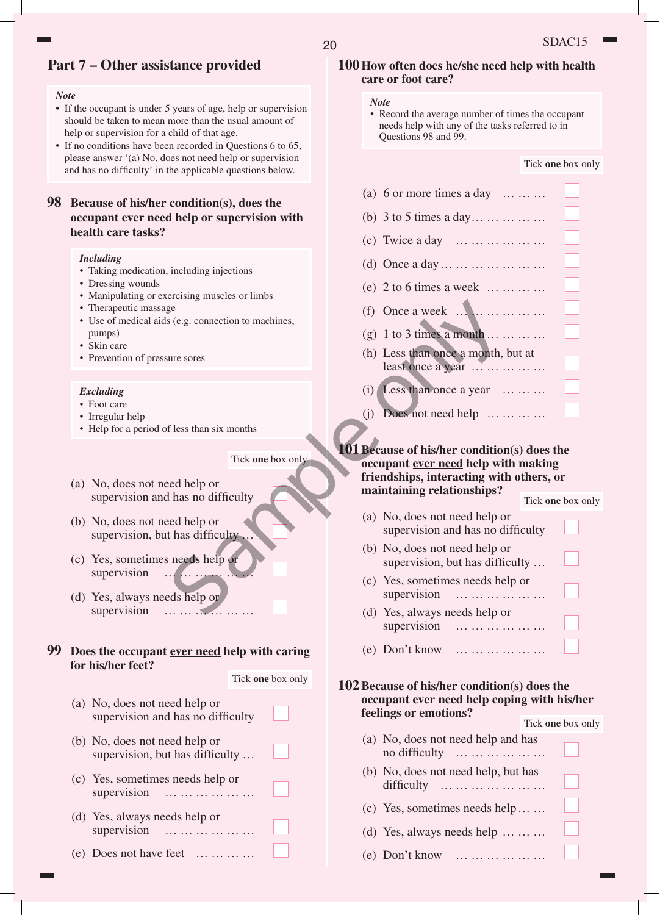# **Part 7 – Other assistance provided**

#### *Note*

- If the occupant is under 5 years of age, help or supervision should be taken to mean more than the usual amount of help or supervision for a child of that age.
- If no conditions have been recorded in Questions 6 to 65, please answer '(a) No, does not need help or supervision and has no difficulty' in the applicable questions below.

### **98 Because of his/her condition(s), does the occupant ever need help or supervision with health care tasks?**

#### *Including*

- Taking medication, including injections
- Dressing wounds
- Manipulating or exercising muscles or limbs
- Therapeutic massage
- Use of medical aids (e.g. connection to machines, pumps)
- Skin care
- Prevention of pressure sores

#### *Excluding*

- Foot care
- Irregular help
- 

| Tick one box only |  |
|-------------------|--|
|-------------------|--|

- (a) No, does not need help or supervision and has no difficulty
- (b) No, does not need help or supervision, but has difficulty
- (c) Yes, sometimes needs help or supervision …
- (d) Yes, always needs help or supervision … … … … … …

### **99 Does the occupant ever need help with caring for his/her feet?**

| (a) No, does not need help or<br>supervision and has no difficulty |
|--------------------------------------------------------------------|

- (b) No, does not need help or supervision, but has difficulty …
- (c) Yes, sometimes needs help or supervision … … … … … …
- (d) Yes, always needs help or supervision … … … … … …
- (e) Does not have feet … … …

### **100How often does he/she need help with health care or foot care?**

#### *Note*

• Record the average number of times the occupant needs help with any of the tasks referred to in Questions 98 and 99.

| Tick one box only |  |  |  |
|-------------------|--|--|--|
|-------------------|--|--|--|

| ecause of his/her condition(s), does the<br>ccupant ever need help or supervision with<br>ealth care tasks?                                                                                                                                                                    | (a) 6 or more times a day $\dots \dots$<br>(b) $3 \text{ to } 5 \text{ times a day   }$<br>(c) Twice a day $\dots \dots \dots \dots \dots$                                      |
|--------------------------------------------------------------------------------------------------------------------------------------------------------------------------------------------------------------------------------------------------------------------------------|---------------------------------------------------------------------------------------------------------------------------------------------------------------------------------|
| <b>Including</b><br>• Taking medication, including injections<br>• Dressing wounds<br>• Manipulating or exercising muscles or limbs<br>• Therapeutic massage<br>• Use of medical aids (e.g. connection to machines,<br>pumps)<br>· Skin care<br>• Prevention of pressure sores | (d) Once a day<br>(e) $2$ to 6 times a week<br>(f) Once a week $\dots \dots \dots \dots$<br>(g) 1 to 3 times a month<br>(h) Less than once a month, but at<br>least once a year |
| <b>Excluding</b><br>• Foot care<br>• Irregular help<br>• Help for a period of less than six months                                                                                                                                                                             | $(i)$ Less than once a year $\dots \dots$<br>Does not need help<br>(i)                                                                                                          |
| Tick one box only<br>) No, does not need help or                                                                                                                                                                                                                               | <b>101 Because of his/her condition(s) does the</b><br>occupant ever need help with making<br>friendships, interacting with others, or                                          |
| supervision and has no difficulty<br>(b) No, does not need help or                                                                                                                                                                                                             | maintaining relationships?<br>Tick one box only<br>(a) No, does not need help or                                                                                                |
| supervision, but has difficulty.<br>(b) Yes, sometimes needs help or                                                                                                                                                                                                           | supervision and has no difficulty<br>(b) No, does not need help or<br>supervision, but has difficulty                                                                           |
| supervision $\ldots$<br>1) Yes, always needs help or<br>supervision<br>.                                                                                                                                                                                                       | (c) Yes, sometimes needs help or<br>supervision<br>.<br>(d) Yes, always needs help or                                                                                           |
| oes the occupant ever need help with caring<br>r his/her feet?<br>Tick one box only                                                                                                                                                                                            | supervision $\ldots \ldots \ldots \ldots \ldots$<br>(e) Don't know<br>                                                                                                          |
| (a) No, does not need help or<br>supervision and has no difficulty                                                                                                                                                                                                             | 102 Because of his/her condition(s) does the<br>occupant ever need help coping with his/her<br>feelings or emotions?<br>Tick one box only                                       |
| (b) No, does not need help or<br>supervision, but has difficulty                                                                                                                                                                                                               | (a) No, does not need help and has<br>no difficulty $\dots \dots \dots \dots \dots$                                                                                             |
| c) Yes, sometimes needs help or<br>supervision<br>.                                                                                                                                                                                                                            | (b) No, does not need help, but has<br>difficulty                                                                                                                               |
|                                                                                                                                                                                                                                                                                | (c) Yes, sometimes needs help                                                                                                                                                   |

- (d) Yes, always needs help … … …
- (e) Don't know … … … … … …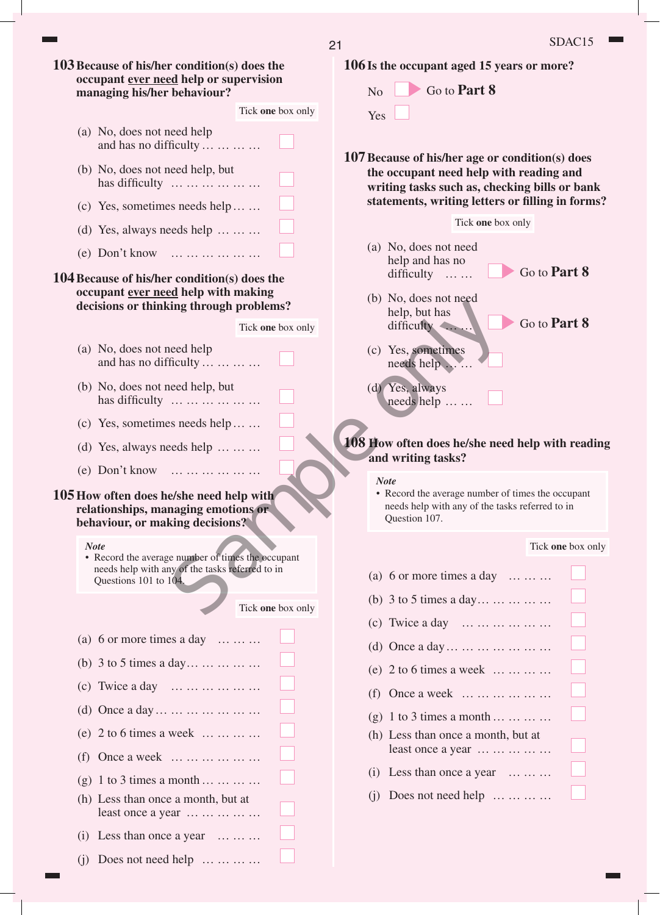|                                                                                                                               | SDAC <sub>15</sub><br>21                                                                                                                                                                        |
|-------------------------------------------------------------------------------------------------------------------------------|-------------------------------------------------------------------------------------------------------------------------------------------------------------------------------------------------|
| <b>103 Because of his/her condition(s) does the</b><br>occupant ever need help or supervision<br>managing his/her behaviour?  | 106 Is the occupant aged 15 years or more?<br>Go to Part 8<br>N <sub>o</sub>                                                                                                                    |
| Tick one box only                                                                                                             | Yes                                                                                                                                                                                             |
| (a) No, does not need help<br>and has no difficulty                                                                           |                                                                                                                                                                                                 |
| (b) No, does not need help, but<br>has difficulty $\dots \dots \dots \dots \dots$                                             | 107 Because of his/her age or condition(s) does<br>the occupant need help with reading and<br>writing tasks such as, checking bills or bank<br>statements, writing letters or filling in forms? |
| (c) Yes, sometimes needs help                                                                                                 |                                                                                                                                                                                                 |
| (d) Yes, always needs help $\dots \dots$                                                                                      | Tick one box only                                                                                                                                                                               |
| (e) Don't know                                                                                                                | (a) No, does not need                                                                                                                                                                           |
| <b>104 Because of his/her condition(s) does the</b><br>occupant ever need help with making                                    | help and has no<br>Go to Part 8<br>difficulty<br>(b) No, does not need                                                                                                                          |
| decisions or thinking through problems?                                                                                       | help, but has                                                                                                                                                                                   |
| Tick one box only                                                                                                             | Go to Part 8<br>difficulty                                                                                                                                                                      |
| (a) No, does not need help<br>and has no difficulty                                                                           | (c) Yes, sometimes<br>needs help                                                                                                                                                                |
| (b) No, does not need help, but<br>has difficulty $\dots \dots \dots \dots$                                                   | (d) Yes, always<br>needs help                                                                                                                                                                   |
| (c) Yes, sometimes needs help                                                                                                 |                                                                                                                                                                                                 |
| (d) Yes, always needs help $\dots \dots$                                                                                      | 108 How often does he/she need help with reading                                                                                                                                                |
|                                                                                                                               | and writing tasks?                                                                                                                                                                              |
| (e) Don't know                                                                                                                |                                                                                                                                                                                                 |
| <b>105 How often does he/she need help with</b><br>relationships, managing emotions or<br>behaviour, or making decisions?     | <b>Note</b><br>• Record the average number of times the occupant<br>needs help with any of the tasks referred to in<br>Question 107.                                                            |
| <b>Note</b>                                                                                                                   | Tick one box only                                                                                                                                                                               |
| • Record the average number of times the occupant<br>needs help with any of the tasks referred to in<br>Questions 101 to 104. | (a) 6 or more times a day $\dots \dots$                                                                                                                                                         |
|                                                                                                                               | (b) $3 \text{ to } 5 \text{ times a day   }$                                                                                                                                                    |
| Tick one box only                                                                                                             | (c) Twice a day $\dots \dots \dots \dots \dots$                                                                                                                                                 |
| (a) 6 or more times a day $\dots \dots$                                                                                       |                                                                                                                                                                                                 |
| (b) $3 \text{ to } 5 \text{ times a day   }$                                                                                  | (d) Once a day                                                                                                                                                                                  |
| (c) Twice a day $\dots \dots \dots \dots \dots$                                                                               | (e) $2$ to 6 times a week                                                                                                                                                                       |
| (d) Once a day                                                                                                                | (f) Once a week                                                                                                                                                                                 |
|                                                                                                                               | 1 to 3 times a month<br>(g)                                                                                                                                                                     |
| (e) $2$ to 6 times a week                                                                                                     | (h) Less than once a month, but at<br>least once a year                                                                                                                                         |
| (f) Once a week                                                                                                               | Less than once a year<br>(1)                                                                                                                                                                    |
| (g) 1 to 3 times a month                                                                                                      |                                                                                                                                                                                                 |
| (h) Less than once a month, but at<br>least once a year                                                                       | Does not need help $\dots \dots \dots$<br>(i)                                                                                                                                                   |
| Less than once a year<br>(1)                                                                                                  |                                                                                                                                                                                                 |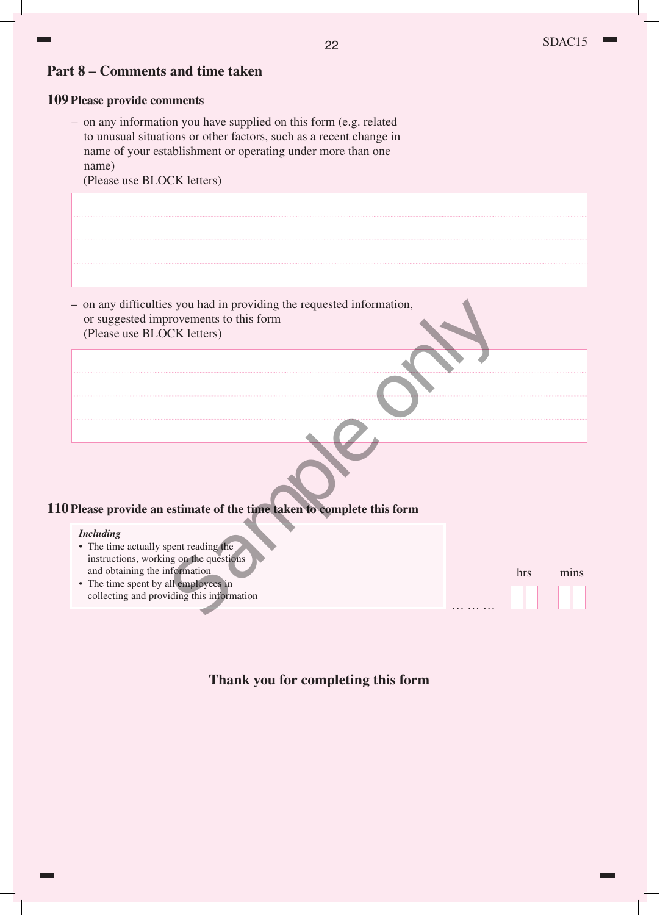# **Part 8 – Comments and time taken**

# **109Please provide comments**

4

– on any information you have supplied on this form (e.g. related to unusual situations or other factors, such as a recent change in name of your establishment or operating under more than one name)

(Please use BLOCK letters)

– on any difficulties you had in providing the requested information, or suggested improvements to this form

# **110Please provide an estimate of the time taken to complete this form**

| $-$ on any difficulties you had in providing the requested information,<br>or suggested improvements to this form<br>(Please use BLOCK letters)                                                                           |     |      |
|---------------------------------------------------------------------------------------------------------------------------------------------------------------------------------------------------------------------------|-----|------|
|                                                                                                                                                                                                                           |     |      |
|                                                                                                                                                                                                                           |     |      |
| Please provide an estimate of the time taken to complete this form                                                                                                                                                        |     |      |
| <b>Including</b><br>• The time actually spent reading the<br>instructions, working on the questions<br>and obtaining the information<br>• The time spent by all employees in<br>collecting and providing this information | hrs | mins |
|                                                                                                                                                                                                                           |     |      |

# **Thank you for completing this form**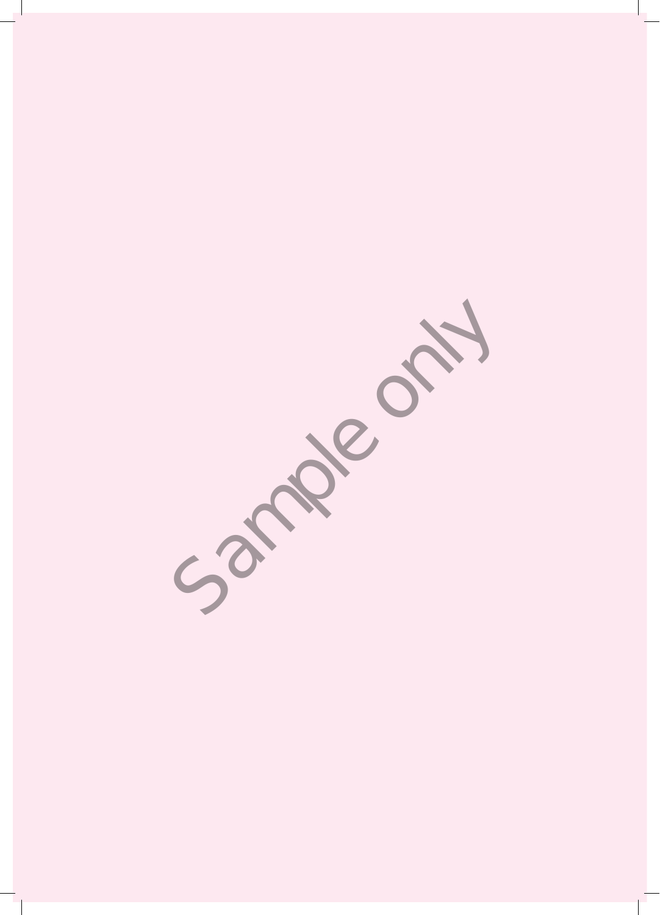Sample only